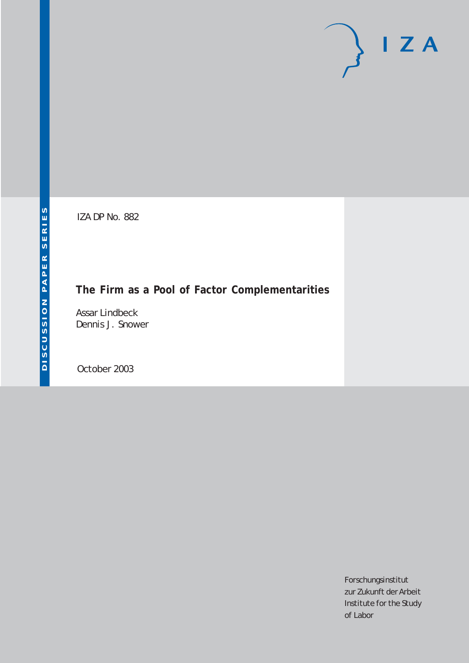# $I Z A$

IZA DP No. 882

# **The Firm as a Pool of Factor Complementarities**

Assar Lindbeck Dennis J. Snower

October 2003

Forschungsinstitut zur Zukunft der Arbeit Institute for the Study of Labor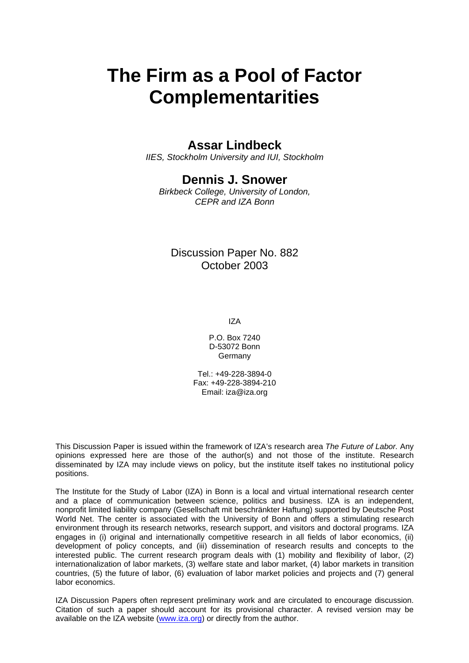# **The Firm as a Pool of Factor Complementarities**

## **Assar Lindbeck**

*IIES, Stockholm University and IUI, Stockholm* 

## **Dennis J. Snower**

*Birkbeck College, University of London, CEPR and IZA Bonn*

#### Discussion Paper No. 882 October 2003

IZA

P.O. Box 7240 D-53072 Bonn **Germany** 

Tel.: +49-228-3894-0 Fax: +49-228-3894-210 Email: [iza@iza.org](mailto:iza@iza.org)

This Discussion Paper is issued within the framework of IZA's research area *The Future of Labor.* Any opinions expressed here are those of the author(s) and not those of the institute. Research disseminated by IZA may include views on policy, but the institute itself takes no institutional policy positions.

The Institute for the Study of Labor (IZA) in Bonn is a local and virtual international research center and a place of communication between science, politics and business. IZA is an independent, nonprofit limited liability company (Gesellschaft mit beschränkter Haftung) supported by Deutsche Post World Net. The center is associated with the University of Bonn and offers a stimulating research environment through its research networks, research support, and visitors and doctoral programs. IZA engages in (i) original and internationally competitive research in all fields of labor economics, (ii) development of policy concepts, and (iii) dissemination of research results and concepts to the interested public. The current research program deals with (1) mobility and flexibility of labor, (2) internationalization of labor markets, (3) welfare state and labor market, (4) labor markets in transition countries, (5) the future of labor, (6) evaluation of labor market policies and projects and (7) general labor economics.

IZA Discussion Papers often represent preliminary work and are circulated to encourage discussion. Citation of such a paper should account for its provisional character. A revised version may be available on the IZA website ([www.iza.org](http://www.iza.org/)) or directly from the author.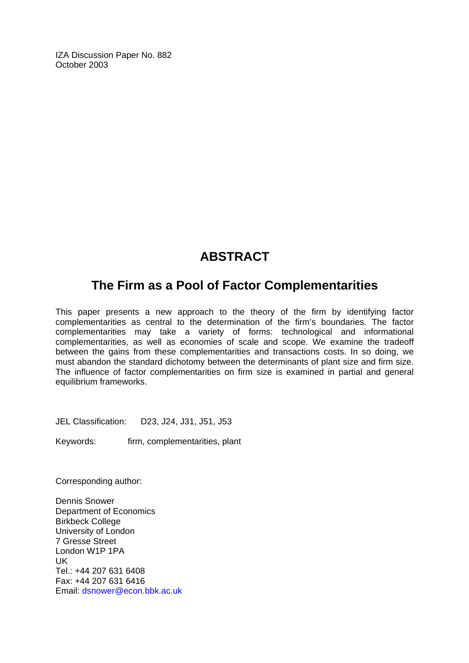IZA Discussion Paper No. 882 October 2003

# **ABSTRACT**

# **The Firm as a Pool of Factor Complementarities**

This paper presents a new approach to the theory of the firm by identifying factor complementarities as central to the determination of the firm's boundaries. The factor complementarities may take a variety of forms: technological and informational complementarities, as well as economies of scale and scope. We examine the tradeoff between the gains from these complementarities and transactions costs. In so doing, we must abandon the standard dichotomy between the determinants of plant size and firm size. The influence of factor complementarities on firm size is examined in partial and general equilibrium frameworks.

JEL Classification: D23, J24, J31, J51, J53

Keywords: firm, complementarities, plant

Corresponding author:

Dennis Snower Department of Economics Birkbeck College University of London 7 Gresse Street London W1P 1PA UK Tel.: +44 207 631 6408 Fax: +44 207 631 6416 Email: [dsnower@econ.bbk.ac.uk](mailto:d.snower@economics.bbk.ac.uk)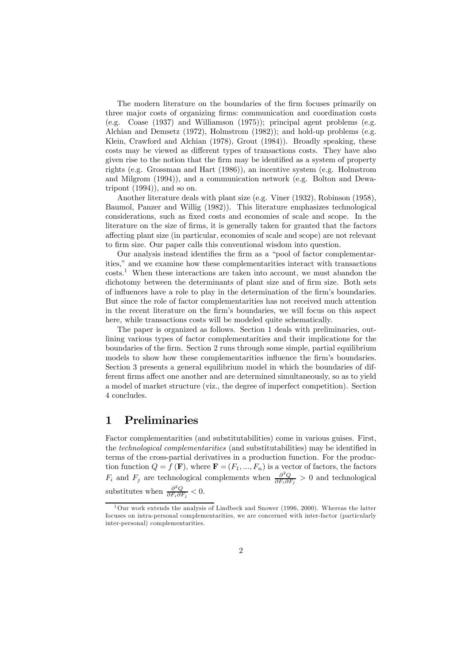The modern literature on the boundaries of the firm focuses primarily on three major costs of organizing firms: communication and coordination costs (e.g. Coase (1937) and Williamson (1975)); principal agent problems (e.g. Alchian and Demsetz (1972), Holmstrom (1982)); and hold-up problems (e.g. Klein, Crawford and Alchian (1978), Grout (1984)). Broadly speaking, these costs may be viewed as different types of transactions costs. They have also given rise to the notion that the firm may be identified as a system of property rights (e.g. Grossman and Hart (1986)), an incentive system (e.g. Holmstrom and Milgrom (1994)), and a communication network (e.g. Bolton and Dewatripont  $(1994)$ , and so on.

Another literature deals with plant size (e.g. Viner (1932), Robinson (1958), Baumol, Panzer and Willig (1982)). This literature emphasizes technological considerations, such as fixed costs and economies of scale and scope. In the literature on the size of firms, it is generally taken for granted that the factors affecting plant size (in particular, economies of scale and scope) are not relevant to firm size. Our paper calls this conventional wisdom into question.

Our analysis instead identifies the firm as a "pool of factor complementarities," and we examine how these complementarities interact with transactions  $costs<sup>1</sup>$  When these interactions are taken into account, we must abandon the dichotomy between the determinants of plant size and of firm size. Both sets of influences have a role to play in the determination of the firm's boundaries. But since the role of factor complementarities has not received much attention in the recent literature on the firm's boundaries, we will focus on this aspect here, while transactions costs will be modeled quite schematically.

The paper is organized as follows. Section 1 deals with preliminaries, outlining various types of factor complementarities and their implications for the boundaries of the firm. Section 2 runs through some simple, partial equilibrium models to show how these complementarities influence the firm's boundaries. Section 3 presents a general equilibrium model in which the boundaries of different firms affect one another and are determined simultaneously, so as to yield a model of market structure (viz., the degree of imperfect competition). Section 4 concludes.

#### 1 Preliminaries

Factor complementarities (and substitutabilities) come in various guises. First, the technological complementarities (and substitutabilities) may be identified in terms of the cross-partial derivatives in a production function. For the production function  $Q = f(\mathbf{F})$ , where  $\mathbf{F} = (F_1, ..., F_n)$  is a vector of factors, the factors  $F_i$  and  $F_j$  are technological complements when  $\frac{\partial^2 Q}{\partial F_i \partial F_j} > 0$  and technological substitutes when  $\frac{\partial^2 Q}{\partial F_i \partial F_j} < 0$ .

<sup>1</sup>Our work extends the analysis of Lindbeck and Snower (1996, 2000). Whereas the latter focuses on intra-personal complementarities, we are concerned with inter-factor (particularly inter-personal) complementarities.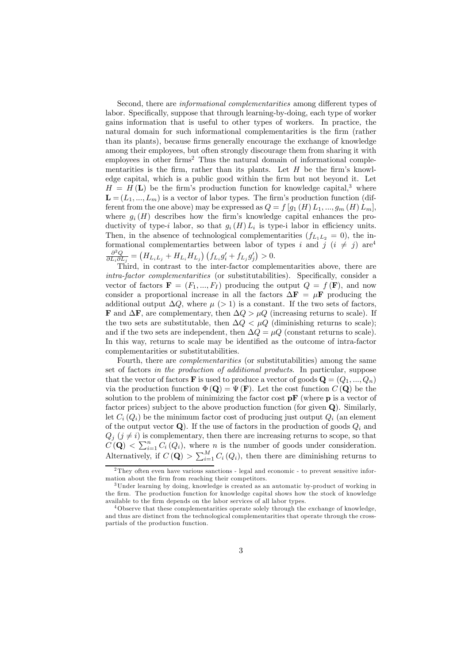Second, there are informational complementarities among different types of labor. Specifically, suppose that through learning-by-doing, each type of worker gains information that is useful to other types of workers. In practice, the natural domain for such informational complementarities is the firm (rather than its plants), because firms generally encourage the exchange of knowledge among their employees, but often strongly discourage them from sharing it with employees in other firms<sup>2</sup> Thus the natural domain of informational complementarities is the firm, rather than its plants. Let  $H$  be the firm's knowledge capital, which is a public good within the firm but not beyond it. Let  $H = H(\mathbf{L})$  be the firm's production function for knowledge capital,<sup>3</sup> where  $\mathbf{L} = (L_1, ..., L_m)$  is a vector of labor types. The firm's production function (different from the one above) may be expressed as  $Q = f [q_1(H) L_1, ..., q_m(H) L_m],$ where  $g_i(H)$  describes how the firm's knowledge capital enhances the productivity of type-i labor, so that  $g_i(H) L_i$  is type-i labor in efficiency units. Then, in the absence of technological complementarities  $(f_{L_1L_2} = 0)$ , the informational complementarties between labor of types i and j  $(i \neq j)$  are<sup>4</sup>  $\frac{\partial^2 Q}{\partial L_i \partial L_j} = (H_{L_i L_j} + H_{L_i} H_{L_j}) (f_{L_i} g'_i + f_{L_j} g'_j) > 0.$ 

Third, in contrast to the inter-factor complementarities above, there are intra-factor complementarities (or substitutabilities). Specifically, consider a vector of factors  $\mathbf{F} = (F_1, ..., F_I)$  producing the output  $Q = f(\mathbf{F})$ , and now consider a proportional increase in all the factors  $\Delta \mathbf{F} = \mu \mathbf{F}$  producing the additional output  $\Delta Q$ , where  $\mu$  (> 1) is a constant. If the two sets of factors, **F** and  $\Delta$ **F**, are complementary, then  $\Delta Q > \mu Q$  (increasing returns to scale). If the two sets are substitutable, then  $\Delta Q < \mu Q$  (diminishing returns to scale); and if the two sets are independent, then  $\Delta Q = \mu Q$  (constant returns to scale). In this way, returns to scale may be identified as the outcome of intra-factor complementarities or substitutabilities.

Fourth, there are complementarities (or substitutabilities) among the same set of factors in the production of additional products. In particular, suppose that the vector of factors **F** is used to produce a vector of goods  $\mathbf{Q} = (Q_1, ..., Q_n)$ via the production function  $\Phi(\mathbf{Q}) = \Psi(\mathbf{F})$ . Let the cost function  $C(\mathbf{Q})$  be the solution to the problem of minimizing the factor cost  $\mathbf{p} \mathbf{F}$  (where  $\mathbf{p}$  is a vector of factor prices) subject to the above production function (for given Q). Similarly, let  $C_i(Q_i)$  be the minimum factor cost of producing just output  $Q_i$  (an element of the output vector  $\mathbf{Q}$ ). If the use of factors in the production of goods  $Q_i$  and  $Q_j$   $(j \neq i)$  is complementary, then there are increasing returns to scope, so that  $C(\mathbf{Q}) < \sum_{i=1}^{n} C_i(Q_i)$ , where *n* is the number of goods under consideration. Alternatively, if  $C(\mathbf{Q}) > \sum_{i=1}^{M} C_i(Q_i)$ , then there are diminishing returns to

<sup>2</sup>They often even have various sanctions - legal and economic - to prevent sensitive information about the firm from reaching their competitors.

<sup>3</sup>Under learning by doing, knowledge is created as an automatic by-product of working in the firm. The production function for knowledge capital shows how the stock of knowledge available to the firm depends on the labor services of all labor types.

<sup>4</sup>Observe that these complementarities operate solely through the exchange of knowledge, and thus are distinct from the technological complementarities that operate through the crosspartials of the production function.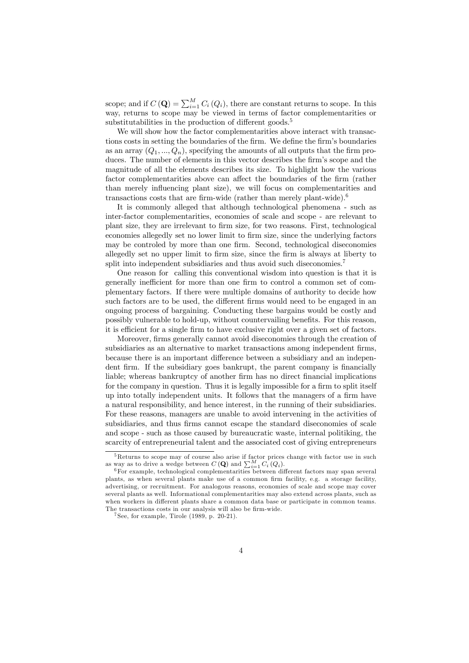scope; and if  $C(\mathbf{Q}) = \sum_{i=1}^{M} C_i(Q_i)$ , there are constant returns to scope. In this way, returns to scope may be viewed in terms of factor complementarities or substitutabilities in the production of different goods.<sup>5</sup>

We will show how the factor complementarities above interact with transactions costs in setting the boundaries of the firm. We define the firm's boundaries as an array  $(Q_1, ..., Q_n)$ , specifying the amounts of all outputs that the firm produces. The number of elements in this vector describes the firm's scope and the magnitude of all the elements describes its size. To highlight how the various factor complementarities above can affect the boundaries of the firm (rather than merely influencing plant size), we will focus on complementarities and transactions costs that are firm-wide (rather than merely plant-wide).6

It is commonly alleged that although technological phenomena - such as inter-factor complementarities, economies of scale and scope - are relevant to plant size, they are irrelevant to firm size, for two reasons. First, technological economies allegedly set no lower limit to firm size, since the underlying factors may be controled by more than one firm. Second, technological diseconomies allegedly set no upper limit to firm size, since the firm is always at liberty to split into independent subsidiaries and thus avoid such diseconomies.<sup>7</sup>

One reason for calling this conventional wisdom into question is that it is generally inefficient for more than one firm to control a common set of complementary factors. If there were multiple domains of authority to decide how such factors are to be used, the different firms would need to be engaged in an ongoing process of bargaining. Conducting these bargains would be costly and possibly vulnerable to hold-up, without countervailing benefits. For this reason, it is efficient for a single firm to have exclusive right over a given set of factors.

Moreover, firms generally cannot avoid diseconomies through the creation of subsidiaries as an alternative to market transactions among independent firms, because there is an important difference between a subsidiary and an independent firm. If the subsidiary goes bankrupt, the parent company is financially liable; whereas bankruptcy of another firm has no direct financial implications for the company in question. Thus it is legally impossible for a firm to split itself up into totally independent units. It follows that the managers of a firm have a natural responsibility, and hence interest, in the running of their subsidiaries. For these reasons, managers are unable to avoid intervening in the activities of subsidiaries, and thus firms cannot escape the standard diseconomies of scale and scope - such as those caused by bureaucratic waste, internal politiking, the scarcity of entrepreneurial talent and the associated cost of giving entrepreneurs

<sup>&</sup>lt;sup>5</sup>Returns to scope may of course also arise if factor prices change with factor use in such as way as to drive a wedge between  $C(\mathbf{Q})$  and  $\sum_{i=1}^{M} C_i(Q_i)$ .<br><sup>6</sup>For example, technological complementarities between different factors may span several

plants, as when several plants make use of a common firm facility, e.g. a storage facility, advertising, or recruitment. For analogous reasons, economies of scale and scope may cover several plants as well. Informational complementarities may also extend across plants, such as when workers in different plants share a common data base or participate in common teams. The transactions costs in our analysis will also be firm-wide.

 $7$  See, for example, Tirole  $(1989, p. 20-21)$ .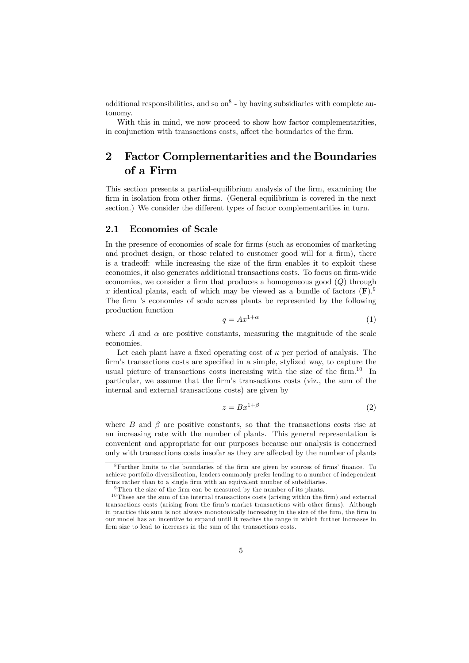additional responsibilities, and so  $\text{on}^8$  - by having subsidiaries with complete autonomy.

With this in mind, we now proceed to show how factor complementarities, in conjunction with transactions costs, affect the boundaries of the firm.

## 2 Factor Complementarities and the Boundaries of a Firm

This section presents a partial-equilibrium analysis of the firm, examining the firm in isolation from other firms. (General equilibrium is covered in the next section.) We consider the different types of factor complementarities in turn.

#### 2.1 Economies of Scale

In the presence of economies of scale for firms (such as economies of marketing and product design, or those related to customer good will for a firm), there is a tradeoff: while increasing the size of the firm enables it to exploit these economies, it also generates additional transactions costs. To focus on firm-wide economies, we consider a firm that produces a homogeneous good  $(Q)$  through x identical plants, each of which may be viewed as a bundle of factors  $(F)^9$ . The firm 's economies of scale across plants be represented by the following production function

$$
q = Ax^{1+\alpha} \tag{1}
$$

where A and  $\alpha$  are positive constants, measuring the magnitude of the scale economies.

Let each plant have a fixed operating cost of  $\kappa$  per period of analysis. The firm's transactions costs are specified in a simple, stylized way, to capture the usual picture of transactions costs increasing with the size of the firm.<sup>10</sup> In particular, we assume that the firm's transactions costs (viz., the sum of the internal and external transactions costs) are given by

$$
z = Bx^{1+\beta} \tag{2}
$$

where  $B$  and  $\beta$  are positive constants, so that the transactions costs rise at an increasing rate with the number of plants. This general representation is convenient and appropriate for our purposes because our analysis is concerned only with transactions costs insofar as they are affected by the number of plants

<sup>8</sup>Further limits to the boundaries of the firm are given by sources of firms' finance. To achieve portfolio diversification, lenders commonly prefer lending to a number of independent firms rather than to a single firm with an equivalent number of subsidiaries.

 $9$ Then the size of the firm can be measured by the number of its plants.

 $10$ These are the sum of the internal transactions costs (arising within the firm) and external transactions costs (arising from the firm's market transactions with other firms). Although in practice this sum is not always monotonically increasing in the size of the firm, the firm in our model has an incentive to expand until it reaches the range in which further increases in firm size to lead to increases in the sum of the transactions costs.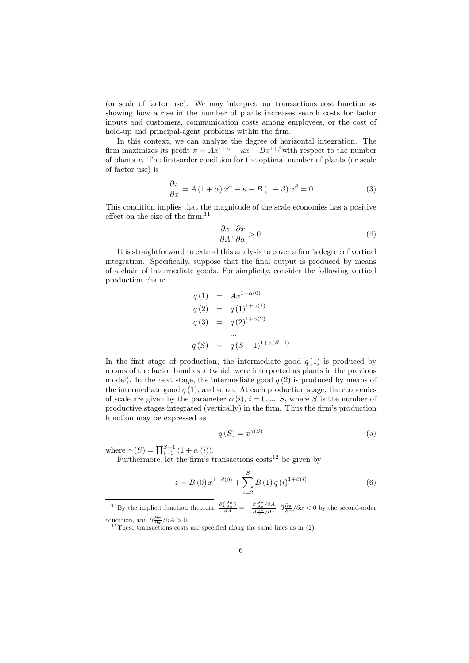(or scale of factor use). We may interpret our transactions cost function as showing how a rise in the number of plants increases search costs for factor inputs and customers, communication costs among employees, or the cost of hold-up and principal-agent problems within the firm.

In this context, we can analyze the degree of horizontal integration. The firm maximizes its profit  $\pi = Ax^{1+\alpha} - \kappa x - Bx^{1+\beta}$  with respect to the number of plants x. The first-order condition for the optimal number of plants (or scale of factor use) is

$$
\frac{\partial \pi}{\partial x} = A (1 + \alpha) x^{\alpha} - \kappa - B (1 + \beta) x^{\beta} = 0
$$
 (3)

This condition implies that the magnitude of the scale economies has a positive effect on the size of the firm: $11$ 

$$
\frac{\partial x}{\partial A}, \frac{\partial x}{\partial \alpha} > 0.
$$
\n<sup>(4)</sup>

It is straightforward to extend this analysis to cover a firm's degree of vertical integration. Specifically, suppose that the final output is produced by means of a chain of intermediate goods. For simplicity, consider the following vertical production chain:

$$
q(1) = Ax^{1+\alpha(0)}
$$
  
\n
$$
q(2) = q(1)^{1+\alpha(1)}
$$
  
\n
$$
q(3) = q(2)^{1+\alpha(2)}
$$
  
\n...  
\n
$$
q(S) = q(S-1)^{1+\alpha(S-1)}
$$

In the first stage of production, the intermediate good  $q(1)$  is produced by means of the factor bundles  $x$  (which were interpreted as plants in the previous model). In the next stage, the intermediate good  $q(2)$  is produced by means of the intermediate good  $q(1)$ ; and so on. At each production stage, the economies of scale are given by the parameter  $\alpha(i)$ ,  $i = 0, ..., S$ , where S is the number of productive stages integrated (vertically) in the firm. Thus the firm's production function may be expressed as

$$
q(S) = x^{\gamma(S)} \tag{5}
$$

where  $\gamma(S) = \prod_{i=1}^{S-1} (1 + \alpha(i)).$ 

Furthermore, let the firm's transactions  $\cos^{-1}$  be given by

$$
z = B(0) x^{1+\beta(0)} + \sum_{i=2}^{S} B(1) q(i)^{1+\beta(i)}
$$
(6)

<sup>11</sup>By the implicit function theorem,  $\frac{\partial(\frac{\partial \pi}{\partial x})}{\partial A} = -\frac{\partial \frac{\partial \pi}{\partial x}}{\partial \frac{\partial \pi}{\partial x}}/\partial x$ ;  $\partial \frac{\partial \pi}{\partial x}/\partial x < 0$  by the second-order condition, and  $\frac{\partial \pi}{\partial x} / \partial A > 0$ .

 $12$  These transactions costs are specified along the same lines as in (2).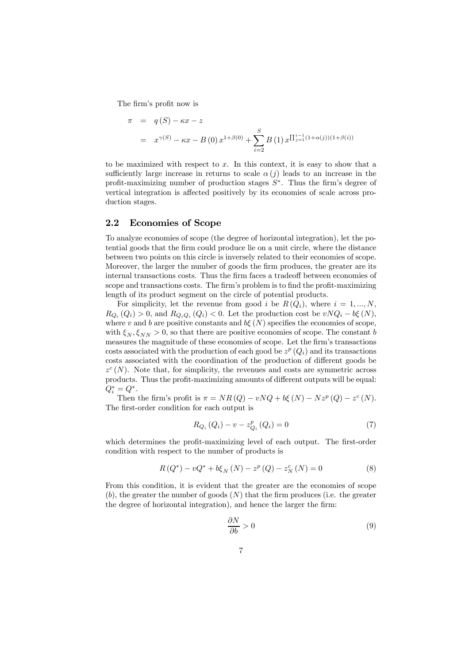The firm's profit now is

$$
\pi = q(S) - \kappa x - z
$$
  
=  $x^{\gamma(S)} - \kappa x - B(0) x^{1+\beta(0)} + \sum_{i=2}^{S} B(1) x^{\prod_{j=1}^{i-1} (1+\alpha(j))(1+\beta(i))}$ 

to be maximized with respect to  $x$ . In this context, it is easy to show that a sufficiently large increase in returns to scale  $\alpha(j)$  leads to an increase in the profit-maximizing number of production stages  $S^*$ . Thus the firm's degree of vertical integration is affected positively by its economies of scale across production stages.

#### 2.2 Economies of Scope

To analyze economies of scope (the degree of horizontal integration), let the potential goods that the firm could produce lie on a unit circle, where the distance between two points on this circle is inversely related to their economies of scope. Moreover, the larger the number of goods the firm produces, the greater are its internal transactions costs. Thus the firm faces a tradeoff between economies of scope and transactions costs. The firm's problem is to find the profit-maximizing length of its product segment on the circle of potential products.

For simplicity, let the revenue from good i be  $R(Q_i)$ , where  $i = 1, ..., N$ ,  $R_{Q_i}(Q_i) > 0$ , and  $R_{Q_iQ_i}(Q_i) < 0$ . Let the production cost be  $vNQ_i - b\xi(N)$ , where v and b are positive constants and  $b\xi(N)$  specifies the economies of scope, with  $\xi_N, \xi_{NN} > 0$ , so that there are positive economies of scope. The constant b measures the magnitude of these economies of scope. Let the firm's transactions costs associated with the production of each good be  $z^p(Q_i)$  and its transactions costs associated with the coordination of the production of different goods be  $z^{c}(N)$ . Note that, for simplicity, the revenues and costs are symmetric across products. Thus the profit-maximizing amounts of different outputs will be equal:  $Q_i^* = Q^*$ .

Then the firm's profit is  $\pi = NR(Q) - vNQ + b\xi(N) - Nz^p(Q) - z^c(N)$ . The first-order condition for each output is

$$
R_{Q_i}(Q_i) - v - z_{Q_i}^p(Q_i) = 0
$$
\n(7)

which determines the profit-maximizing level of each output. The first-order condition with respect to the number of products is

$$
R(Q^*) - vQ^* + b\xi_N(N) - z^p(Q) - z^c_N(N) = 0
$$
\n(8)

From this condition, it is evident that the greater are the economies of scope  $(b)$ , the greater the number of goods  $(N)$  that the firm produces (i.e. the greater the degree of horizontal integration), and hence the larger the firm:

$$
\frac{\partial N}{\partial b} > 0 \tag{9}
$$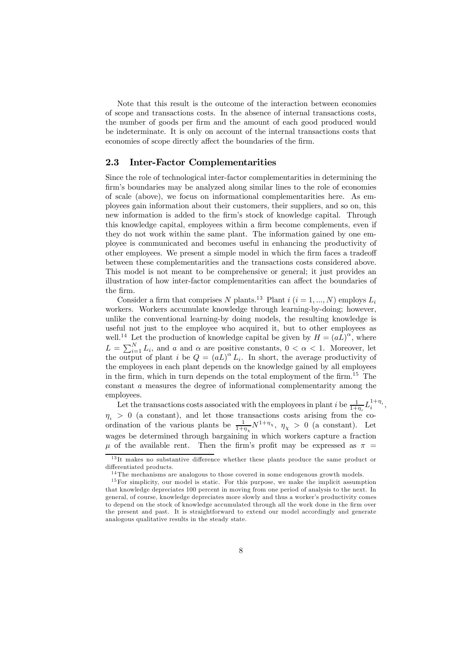Note that this result is the outcome of the interaction between economies of scope and transactions costs. In the absence of internal transactions costs, the number of goods per firm and the amount of each good produced would be indeterminate. It is only on account of the internal transactions costs that economies of scope directly affect the boundaries of the firm.

#### 2.3 Inter-Factor Complementarities

Since the role of technological inter-factor complementarities in determining the firm's boundaries may be analyzed along similar lines to the role of economies of scale (above), we focus on informational complementarities here. As employees gain information about their customers, their suppliers, and so on, this new information is added to the firm's stock of knowledge capital. Through this knowledge capital, employees within a firm become complements, even if they do not work within the same plant. The information gained by one employee is communicated and becomes useful in enhancing the productivity of other employees. We present a simple model in which the firm faces a tradeoff between these complementarities and the transactions costs considered above. This model is not meant to be comprehensive or general; it just provides an illustration of how inter-factor complementarities can affect the boundaries of the firm.

Consider a firm that comprises N plants.<sup>13</sup> Plant  $i$  ( $i = 1, ..., N$ ) employs  $L_i$ workers. Workers accumulate knowledge through learning-by-doing; however, unlike the conventional learning-by doing models, the resulting knowledge is useful not just to the employee who acquired it, but to other employees as well.<sup>14</sup> Let the production of knowledge capital be given by  $H = (aL)^{\alpha}$ , where  $L = \sum_{i=1}^{N} L_i$ , and a and  $\alpha$  are positive constants,  $0 < \alpha < 1$ . Moreover, let the output of plant i be  $Q = (aL)^{\alpha} L_i$ . In short, the average productivity of the employees in each plant depends on the knowledge gained by all employees in the firm, which in turn depends on the total employment of the firm.<sup>15</sup> The constant a measures the degree of informational complementarity among the employees.

Let the transactions costs associated with the employees in plant i be  $\frac{1}{1+\eta_i}L_i^{1+\eta_i}$ ,  $\eta_{\iota} > 0$  (a constant), and let those transactions costs arising from the coordination of the various plants be  $\frac{1}{1+\eta_{\chi}}N^{1+\eta_{\chi}}, \eta_{\chi} > 0$  (a constant). Let wages be determined through bargaining in which workers capture a fraction  $\mu$  of the available rent. Then the firm's profit may be expressed as  $\pi$  =

<sup>&</sup>lt;sup>13</sup>It makes no substantive difference whether these plants produce the same product or differentiated products.

<sup>&</sup>lt;sup>14</sup>The mechanisms are analogous to those covered in some endogenous growth models.

 $15$  For simplicity, our model is static. For this purpose, we make the implicit assumption that knowledge depreciates 100 percent in moving from one period of analysis to the next. In general, of course, knowledge depreciates more slowly and thus a worker's productivity comes to depend on the stock of knowledge accumulated through all the work done in the firm over the present and past. It is straightforward to extend our model accordingly and generate analogous qualitative results in the steady state.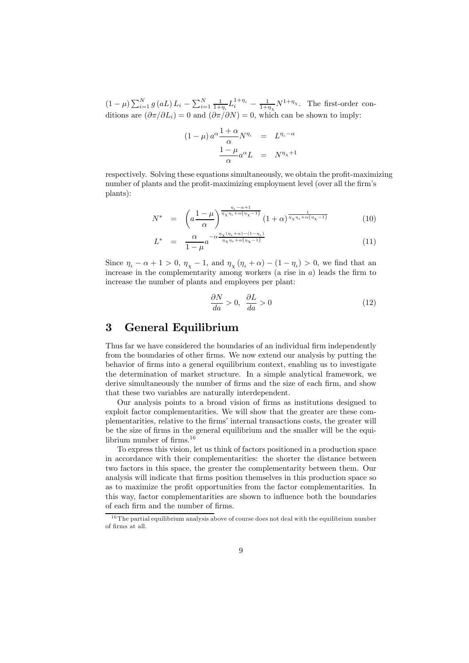$(1-\mu)\sum_{i=1}^{N}g(aL) L_i - \sum_{i=1}^{N}\frac{1}{1+\eta_i}L_i^{1+\eta_i} - \frac{1}{1+\eta_{\chi}}N^{1+\eta_{\chi}}$ . The first-order conditions are  $(\partial \pi / \partial L_i) = 0$  and  $(\partial \pi / \partial N) = 0$ , which can be shown to imply:

$$
(1 - \mu) a^{\alpha} \frac{1 + \alpha}{\alpha} N^{\eta_{\iota}} = L^{\eta_{\iota} - \alpha}
$$

$$
\frac{1 - \mu}{\alpha} a^{\alpha} L = N^{\eta_{\chi} + 1}
$$

respectively. Solving these equations simultaneously, we obtain the profit-maximizing number of plants and the profit-maximizing employment level (over all the firm's plants):

$$
N^* = \left( a \frac{1-\mu}{\alpha} \right)^{\frac{\eta_t - \alpha + 1}{\eta_\chi \eta_t + \alpha(\eta_\chi - 1)}} \left( 1 + \alpha \right)^{\frac{1}{\eta_\chi \eta_t + \alpha(\eta_\chi - 1)}} \tag{10}
$$

$$
L^* = \frac{\alpha}{1-\mu} a^{-\alpha \frac{\eta_\chi(\eta_t + \alpha) - (1-\eta_t)}{\eta_\chi \eta_t + \alpha(\eta_\chi - 1)}}
$$
(11)

Since  $\eta_{\iota} - \alpha + 1 > 0$ ,  $\eta_{\chi} - 1$ , and  $\eta_{\chi}(\eta_{\iota} + \alpha) - (1 - \eta_{\iota}) > 0$ , we find that an increase in the complementarity among workers (a rise in  $a$ ) leads the firm to increase the number of plants and employees per plant:

$$
\frac{\partial N}{da} > 0, \quad \frac{\partial L}{da} > 0 \tag{12}
$$

#### 3 General Equilibrium

Thus far we have considered the boundaries of an individual firm independently from the boundaries of other firms. We now extend our analysis by putting the behavior of firms into a general equilibrium context, enabling us to investigate the determination of market structure. In a simple analytical framework, we derive simultaneously the number of firms and the size of each firm, and show that these two variables are naturally interdependent.

Our analysis points to a broad vision of firms as institutions designed to exploit factor complementarities. We will show that the greater are these complementarities, relative to the firms' internal transactions costs, the greater will be the size of firms in the general equilibrium and the smaller will be the equilibrium number of firms.16

To express this vision, let us think of factors positioned in a production space in accordance with their complementarities: the shorter the distance between two factors in this space, the greater the complementarity between them. Our analysis will indicate that firms position themselves in this production space so as to maximize the profit opportunities from the factor complementarities. In this way, factor complementarities are shown to influence both the boundaries of each firm and the number of firms.

 $16$ The partial equilibrium analysis above of course does not deal with the equilibrium number of firms at all.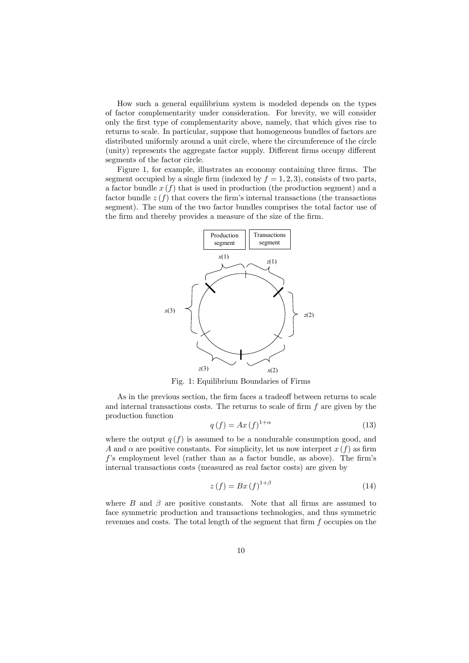How such a general equilibrium system is modeled depends on the types of factor complementarity under consideration. For brevity, we will consider only the first type of complementarity above, namely, that which gives rise to returns to scale. In particular, suppose that homogeneous bundles of factors are distributed uniformly around a unit circle, where the circumference of the circle (unity) represents the aggregate factor supply. Different firms occupy different segments of the factor circle.

Figure 1, for example, illustrates an economy containing three firms. The segment occupied by a single firm (indexed by  $f = 1, 2, 3$ ), consists of two parts, a factor bundle  $x(f)$  that is used in production (the production segment) and a factor bundle  $z(f)$  that covers the firm's internal transactions (the transactions segment). The sum of the two factor bundles comprises the total factor use of the firm and thereby provides a measure of the size of the firm.



Fig. 1: Equilibrium Boundaries of Firms

As in the previous section, the firm faces a tradeoff between returns to scale and internal transactions costs. The returns to scale of firm  $f$  are given by the production function

$$
q(f) = Ax(f)^{1+\alpha} \tag{13}
$$

where the output  $q(f)$  is assumed to be a nondurable consumption good, and A and  $\alpha$  are positive constants. For simplicity, let us now interpret  $x(f)$  as firm f's employment level (rather than as a factor bundle, as above). The firm's internal transactions costs (measured as real factor costs) are given by

$$
z(f) = Bx(f)^{1+\beta} \tag{14}
$$

where  $B$  and  $\beta$  are positive constants. Note that all firms are assumed to face symmetric production and transactions technologies, and thus symmetric revenues and costs. The total length of the segment that firm f occupies on the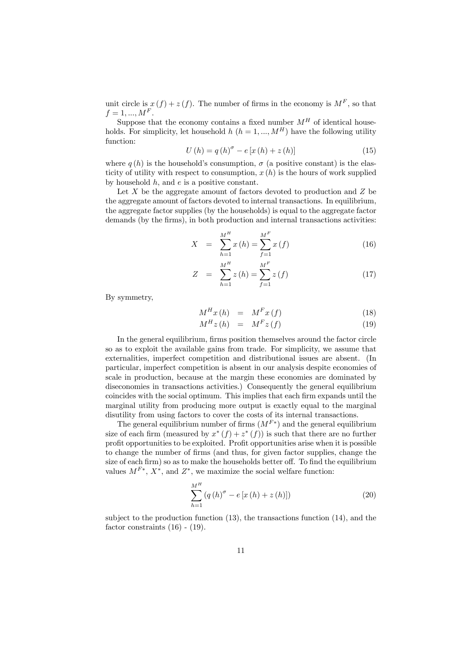unit circle is  $x(f) + z(f)$ . The number of firms in the economy is  $M<sup>F</sup>$ , so that  $f = 1, ..., M^F$ .

Suppose that the economy contains a fixed number  $M<sup>H</sup>$  of identical households. For simplicity, let household h  $(h = 1, ..., M^H)$  have the following utility function:

$$
U(h) = q(h)^{\sigma} - e[x(h) + z(h)]
$$
\n(15)

where  $q(h)$  is the household's consumption,  $q$  (a positive constant) is the elasticity of utility with respect to consumption,  $x(h)$  is the hours of work supplied by household  $h$ , and  $e$  is a positive constant.

Let  $X$  be the aggregate amount of factors devoted to production and  $Z$  be the aggregate amount of factors devoted to internal transactions. In equilibrium, the aggregate factor supplies (by the households) is equal to the aggregate factor demands (by the firms), in both production and internal transactions activities:

$$
X = \sum_{h=1}^{M^H} x(h) = \sum_{f=1}^{M^F} x(f)
$$
 (16)

$$
Z = \sum_{h=1}^{M^H} z(h) = \sum_{f=1}^{M^F} z(f)
$$
 (17)

By symmetry,

$$
M^H x(h) = M^F x(f) \tag{18}
$$

$$
M^H z(h) = M^F z(f) \tag{19}
$$

In the general equilibrium, firms position themselves around the factor circle so as to exploit the available gains from trade. For simplicity, we assume that externalities, imperfect competition and distributional issues are absent. (In particular, imperfect competition is absent in our analysis despite economies of scale in production, because at the margin these economies are dominated by diseconomies in transactions activities.) Consequently the general equilibrium coincides with the social optimum. This implies that each firm expands until the marginal utility from producing more output is exactly equal to the marginal disutility from using factors to cover the costs of its internal transactions.

The general equilibrium number of firms  $(M^{F*})$  and the general equilibrium size of each firm (measured by  $x^*(f) + z^*(f)$ ) is such that there are no further profit opportunities to be exploited. Profit opportunities arise when it is possible to change the number of firms (and thus, for given factor supplies, change the size of each firm) so as to make the households better off. To find the equilibrium values  $M^{F*}$ ,  $X^*$ , and  $Z^*$ , we maximize the social welfare function:

$$
\sum_{h=1}^{M^{H}} \left( q\left( h\right)^{\sigma}-e\left[ x\left( h\right) +z\left( h\right) \right] \right) \tag{20}
$$

subject to the production function (13), the transactions function (14), and the factor constraints  $(16)$  -  $(19)$ .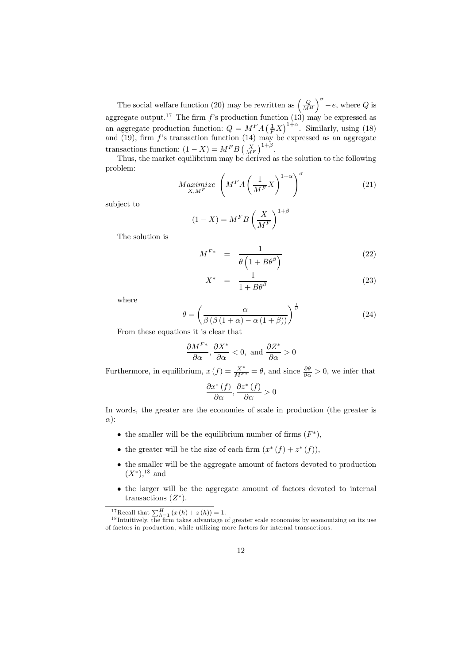The social welfare function (20) may be rewritten as  $\left(\frac{Q}{M^H}\right)$  $\int_{0}^{\sigma} -e$ , where Q is aggregate output.<sup>17</sup> The firm f's production function (13) may be expressed as an aggregate production function:  $Q = M^F A \left(\frac{1}{F}X\right)^{1+\alpha}$ . Similarly, using (18) and (19), firm  $f$ 's transaction function (14) may be expressed as an aggregate transactions function:  $(1 - X) = M^F B \left(\frac{X}{M^F}\right)^{1+\beta}$ .

Thus, the market equilibrium may be derived as the solution to the following problem:

$$
Maximize \left( M^F A \left( \frac{1}{M^F} X \right)^{1+\alpha} \right)^{\sigma}
$$
 (21)

subject to

$$
(1 - X) = MF B \left(\frac{X}{MF}\right)^{1 + \beta}
$$

The solution is

$$
M^{F*} = \frac{1}{\theta \left(1 + B\theta^{\beta}\right)}\tag{22}
$$

$$
X^* = \frac{1}{1 + B\theta^\beta} \tag{23}
$$

where

$$
\theta = \left(\frac{\alpha}{\beta\left(\beta\left(1+\alpha\right)-\alpha\left(1+\beta\right)\right)}\right)^{\frac{1}{\beta}}\tag{24}
$$

From these equations it is clear that

$$
\frac{\partial M^{F*}}{\partial \alpha}, \frac{\partial X^*}{\partial \alpha} < 0, \text{ and } \frac{\partial Z^*}{\partial \alpha} > 0
$$

Furthermore, in equilibrium,  $x(f) = \frac{X^*}{M^{F*}} = \theta$ , and since  $\frac{\partial \theta}{\partial \alpha} > 0$ , we infer that

$$
\frac{\partial x^*(f)}{\partial \alpha}, \frac{\partial z^*(f)}{\partial \alpha} > 0
$$

In words, the greater are the economies of scale in production (the greater is α):

- the smaller will be the equilibrium number of firms  $(F^*),$
- the greater will be the size of each firm  $(x^*(f) + z^*(f))$ ,
- the smaller will be the aggregate amount of factors devoted to production  $(X^*)$ ,<sup>18</sup> and
- the larger will be the aggregate amount of factors devoted to internal transactions  $(Z^*)$ .

<sup>17</sup>Recall that  $\sum_{h=1}^{H} (x(h) + z(h)) = 1$ .

 $^{18}$ Intuitively, the firm takes advantage of greater scale economies by economizing on its use of factors in production, while utilizing more factors for internal transactions.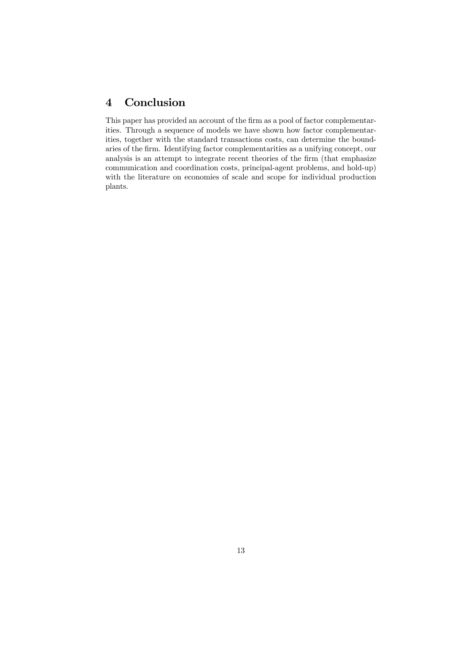# 4 Conclusion

This paper has provided an account of the firm as a pool of factor complementarities. Through a sequence of models we have shown how factor complementarities, together with the standard transactions costs, can determine the boundaries of the firm. Identifying factor complementarities as a unifying concept, our analysis is an attempt to integrate recent theories of the firm (that emphasize communication and coordination costs, principal-agent problems, and hold-up) with the literature on economies of scale and scope for individual production plants.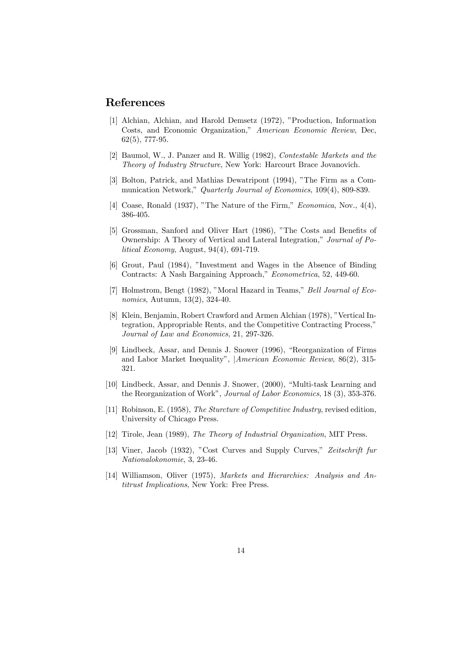#### References

- [1] Alchian, Alchian, and Harold Demsetz (1972), "Production, Information Costs, and Economic Organization," American Economic Review, Dec, 62(5), 777-95.
- [2] Baumol, W., J. Panzer and R. Willig (1982), Contestable Markets and the Theory of Industry Structure, New York: Harcourt Brace Jovanovich.
- [3] Bolton, Patrick, and Mathias Dewatripont (1994), "The Firm as a Communication Network," Quarterly Journal of Economics, 109(4), 809-839.
- [4] Coase, Ronald (1937), "The Nature of the Firm," *Economica*, Nov., 4(4), 386-405.
- [5] Grossman, Sanford and Oliver Hart (1986), "The Costs and Benefits of Ownership: A Theory of Vertical and Lateral Integration," Journal of Political Economy, August, 94(4), 691-719.
- [6] Grout, Paul (1984), "Investment and Wages in the Absence of Binding Contracts: A Nash Bargaining Approach," Econometrica, 52, 449-60.
- [7] Holmstrom, Bengt (1982), "Moral Hazard in Teams," Bell Journal of Economics, Autumn, 13(2), 324-40.
- [8] Klein, Benjamin, Robert Crawford and Armen Alchian (1978), "Vertical Integration, Appropriable Rents, and the Competitive Contracting Process," Journal of Law and Economics, 21, 297-326.
- [9] Lindbeck, Assar, and Dennis J. Snower (1996), "Reorganization of Firms and Labor Market Inequality", |American Economic Review, 86(2), 315- 321.
- [10] Lindbeck, Assar, and Dennis J. Snower, (2000), "Multi-task Learning and the Reorganization of Work", Journal of Labor Economics, 18 (3), 353-376.
- [11] Robinson, E. (1958), The Sturcture of Competitive Industry, revised edition, University of Chicago Press.
- [12] Tirole, Jean (1989), The Theory of Industrial Organization, MIT Press.
- [13] Viner, Jacob (1932), "Cost Curves and Supply Curves," Zeitschrift fur Nationalokonomie, 3, 23-46.
- [14] Williamson, Oliver (1975), Markets and Hierarchies: Analysis and Antitrust Implications, New York: Free Press.